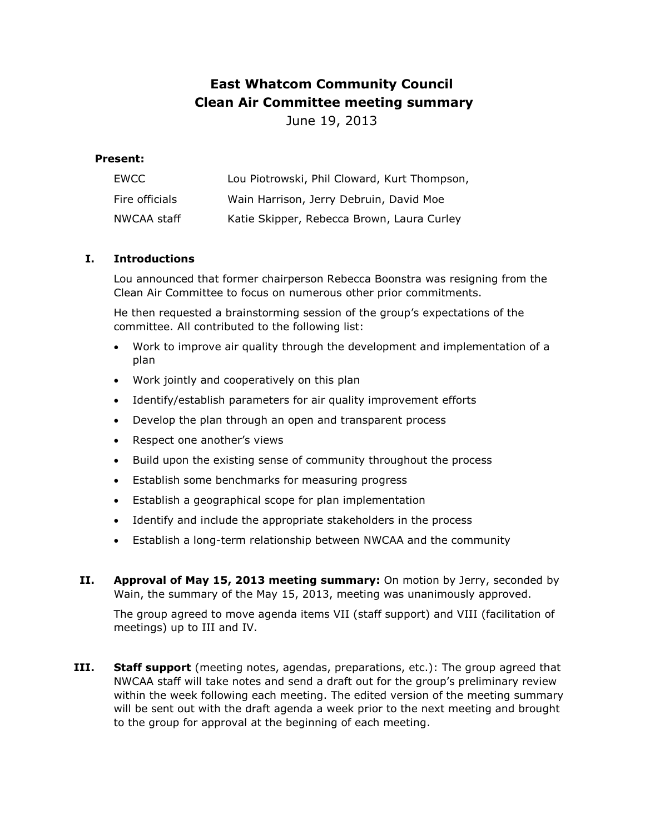# **East Whatcom Community Council Clean Air Committee meeting summary**

June 19, 2013

# **Present:**

| EWCC           | Lou Piotrowski, Phil Cloward, Kurt Thompson, |
|----------------|----------------------------------------------|
| Fire officials | Wain Harrison, Jerry Debruin, David Moe      |
| NWCAA staff    | Katie Skipper, Rebecca Brown, Laura Curley   |

## **I. Introductions**

Lou announced that former chairperson Rebecca Boonstra was resigning from the Clean Air Committee to focus on numerous other prior commitments.

He then requested a brainstorming session of the group's expectations of the committee. All contributed to the following list:

- Work to improve air quality through the development and implementation of a plan
- Work jointly and cooperatively on this plan
- Identify/establish parameters for air quality improvement efforts
- Develop the plan through an open and transparent process
- Respect one another's views
- Build upon the existing sense of community throughout the process
- **Establish some benchmarks for measuring progress**
- Establish a geographical scope for plan implementation
- Identify and include the appropriate stakeholders in the process
- Establish a long-term relationship between NWCAA and the community
- **II. Approval of May 15, 2013 meeting summary:** On motion by Jerry, seconded by Wain, the summary of the May 15, 2013, meeting was unanimously approved.

The group agreed to move agenda items VII (staff support) and VIII (facilitation of meetings) up to III and IV.

**III. Staff support** (meeting notes, agendas, preparations, etc.): The group agreed that NWCAA staff will take notes and send a draft out for the group's preliminary review within the week following each meeting. The edited version of the meeting summary will be sent out with the draft agenda a week prior to the next meeting and brought to the group for approval at the beginning of each meeting.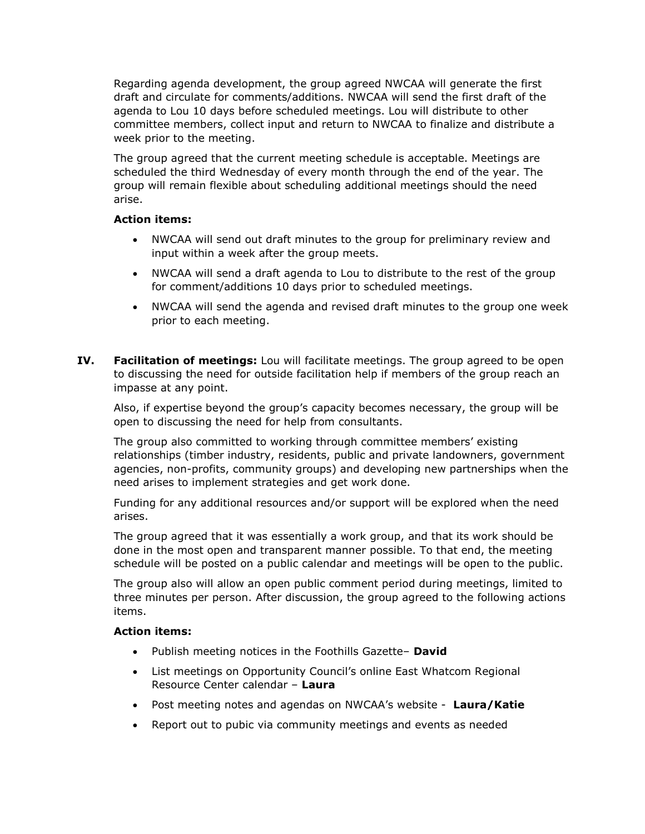Regarding agenda development, the group agreed NWCAA will generate the first draft and circulate for comments/additions. NWCAA will send the first draft of the agenda to Lou 10 days before scheduled meetings. Lou will distribute to other committee members, collect input and return to NWCAA to finalize and distribute a week prior to the meeting.

The group agreed that the current meeting schedule is acceptable. Meetings are scheduled the third Wednesday of every month through the end of the year. The group will remain flexible about scheduling additional meetings should the need arise.

## **Action items:**

- NWCAA will send out draft minutes to the group for preliminary review and input within a week after the group meets.
- NWCAA will send a draft agenda to Lou to distribute to the rest of the group for comment/additions 10 days prior to scheduled meetings.
- NWCAA will send the agenda and revised draft minutes to the group one week prior to each meeting.
- **IV. Facilitation of meetings:** Lou will facilitate meetings. The group agreed to be open to discussing the need for outside facilitation help if members of the group reach an impasse at any point.

Also, if expertise beyond the group's capacity becomes necessary, the group will be open to discussing the need for help from consultants.

The group also committed to working through committee members' existing relationships (timber industry, residents, public and private landowners, government agencies, non-profits, community groups) and developing new partnerships when the need arises to implement strategies and get work done.

Funding for any additional resources and/or support will be explored when the need arises.

The group agreed that it was essentially a work group, and that its work should be done in the most open and transparent manner possible. To that end, the meeting schedule will be posted on a public calendar and meetings will be open to the public.

The group also will allow an open public comment period during meetings, limited to three minutes per person. After discussion, the group agreed to the following actions items.

## **Action items:**

- Publish meeting notices in the Foothills Gazette– **David**
- List meetings on Opportunity Council's online East Whatcom Regional Resource Center calendar – **Laura**
- Post meeting notes and agendas on NWCAA's website **Laura/Katie**
- Report out to pubic via community meetings and events as needed